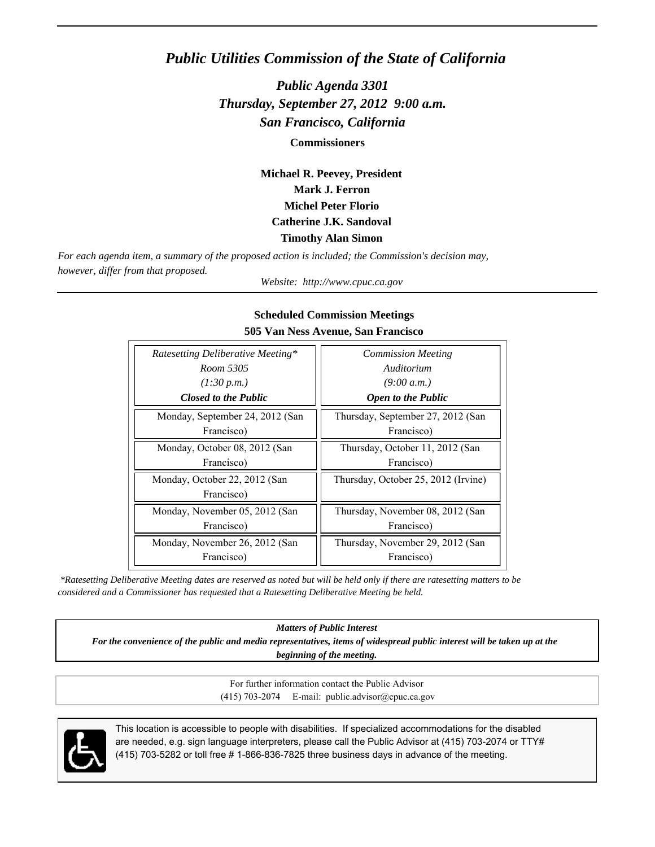## *Public Utilities Commission of the State of California*

*Public Agenda 3301 Thursday, September 27, 2012 9:00 a.m. San Francisco, California*

**Commissioners**

**Michael R. Peevey, President Mark J. Ferron Michel Peter Florio Catherine J.K. Sandoval Timothy Alan Simon**

*For each agenda item, a summary of the proposed action is included; the Commission's decision may, however, differ from that proposed.*

*Website: http://www.cpuc.ca.gov*

| Ratesetting Deliberative Meeting* | <b>Commission Meeting</b>           |
|-----------------------------------|-------------------------------------|
| Room 5305                         | Auditorium                          |
| (1:30 p.m.)                       | (9:00 a.m.)                         |
| <b>Closed to the Public</b>       | <b>Open to the Public</b>           |
| Monday, September 24, 2012 (San   | Thursday, September 27, 2012 (San   |
| Francisco)                        | Francisco)                          |
| Monday, October 08, 2012 (San     | Thursday, October 11, 2012 (San     |
| Francisco)                        | Francisco)                          |
| Monday, October 22, 2012 (San     | Thursday, October 25, 2012 (Irvine) |
| Francisco)                        |                                     |
| Monday, November 05, 2012 (San    | Thursday, November 08, 2012 (San    |
| Francisco)                        | Francisco)                          |
| Monday, November 26, 2012 (San    | Thursday, November 29, 2012 (San    |
| Francisco)                        | Francisco)                          |

#### **Scheduled Commission Meetings 505 Van Ness Avenue, San Francisco**

 *\*Ratesetting Deliberative Meeting dates are reserved as noted but will be held only if there are ratesetting matters to be considered and a Commissioner has requested that a Ratesetting Deliberative Meeting be held.*

*Matters of Public Interest*

*For the convenience of the public and media representatives, items of widespread public interest will be taken up at the beginning of the meeting.*

> For further information contact the Public Advisor (415) 703-2074 E-mail: public.advisor@cpuc.ca.gov



This location is accessible to people with disabilities. If specialized accommodations for the disabled are needed, e.g. sign language interpreters, please call the Public Advisor at (415) 703-2074 or TTY# (415) 703-5282 or toll free # 1-866-836-7825 three business days in advance of the meeting.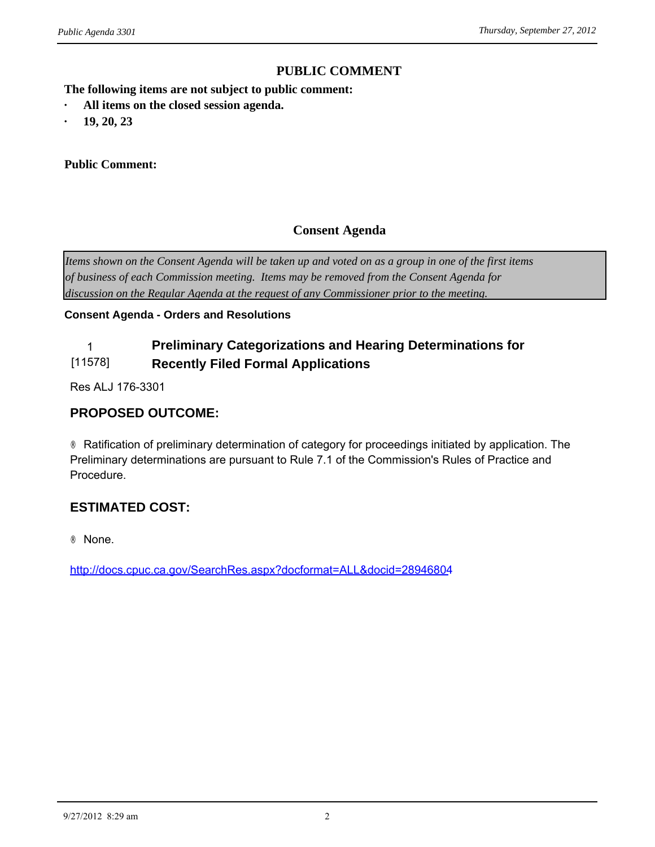## **PUBLIC COMMENT**

**The following items are not subject to public comment: PUBLIC CONTINUIST And ALL INCO THE FOLLONING SET ALL ITEMS ON THE CONSERVANT OF ALL ITEMS ON THE CONSERVANT OF A LLAND SERVIE AND A LLAND SET A LLAND SERVIE AND A LLAND SERVIE CONSERVANT OF A LLAND SERVIE CONSERVANT OF A** 

- *ublic Agenda 3301*<br> **The following items are not subject**<br> **•** All items on the closed session a<br> **19, 20, 23**<br> **Public Comment:**
- 

#### **Public Comment:**

## **Consent Agenda**

*Items shown on the Consent Agenda will be taken up and voted on as a group in one of the first items of business of each Commission meeting. Items may be removed from the Consent Agenda for discussion on the Regular Agenda at the request of any Commissioner prior to the meeting.*

#### **Consent Agenda - Orders and Resolutions**

#### 1 **Preliminary Categorizations and Hearing Determinations for**  [11578] **Recently Filed Formal Applications**

Res ALJ 176-3301

## **PROPOSED OUTCOME:**

® Ratification of preliminary determination of category for proceedings initiated by application. The Preliminary determinations are pursuant to Rule 7.1 of the Commission's Rules of Practice and Procedure.

## **ESTIMATED COST:**

® None.

<http://docs.cpuc.ca.gov/SearchRes.aspx?docformat=ALL&docid=28946804>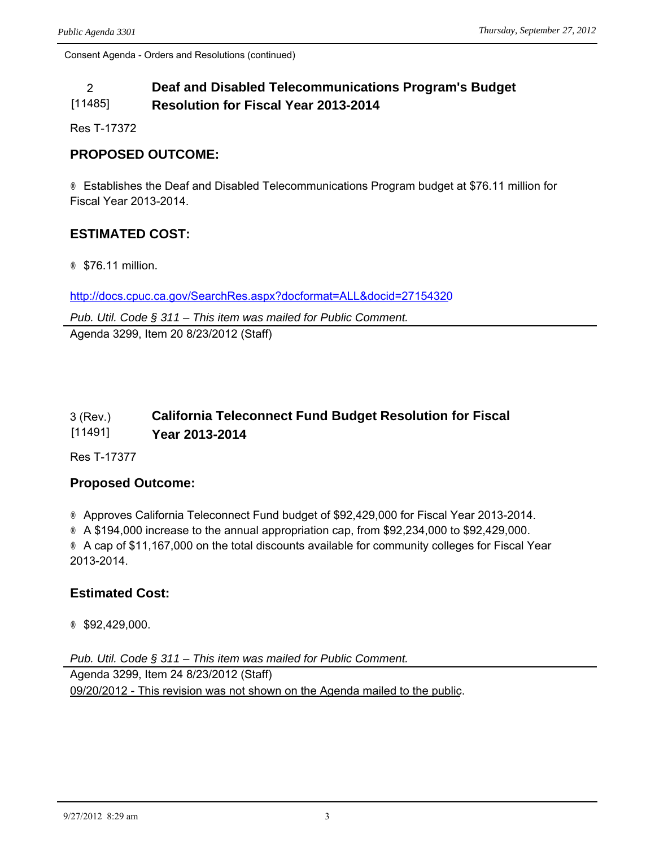#### 2 **Deaf and Disabled Telecommunications Program's Budget**  [11485] **Resolution for Fiscal Year 2013-2014**

Res T-17372

## **PROPOSED OUTCOME:**

® Establishes the Deaf and Disabled Telecommunications Program budget at \$76.11 million for Fiscal Year 2013-2014.

## **ESTIMATED COST:**

® \$76.11 million.

<http://docs.cpuc.ca.gov/SearchRes.aspx?docformat=ALL&docid=27154320>

*Pub. Util. Code § 311 – This item was mailed for Public Comment.* Agenda 3299, Item 20 8/23/2012 (Staff)

#### 3 (Rev.) [11491] **California Teleconnect Fund Budget Resolution for Fiscal Year 2013-2014**

Res T-17377

#### **Proposed Outcome:**

® Approves California Teleconnect Fund budget of \$92,429,000 for Fiscal Year 2013-2014.  $\circledR$  A \$194,000 increase to the annual appropriation cap, from \$92,234,000 to \$92,429,000. ® A cap of \$11,167,000 on the total discounts available for community colleges for Fiscal Year 2013-2014.

## **Estimated Cost:**

® \$92,429,000.

*Pub. Util. Code § 311 – This item was mailed for Public Comment.* Agenda 3299, Item 24 8/23/2012 (Staff) 09/20/2012 - This revision was not shown on the Agenda mailed to the public.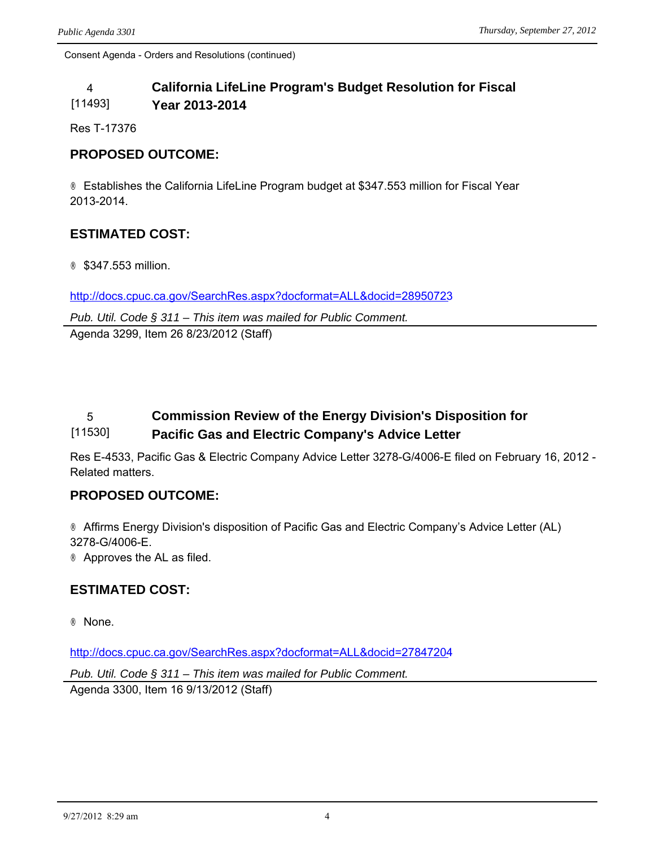#### 4 **California LifeLine Program's Budget Resolution for Fiscal**  [11493] **Year 2013-2014**

Res T-17376

## **PROPOSED OUTCOME:**

® Establishes the California LifeLine Program budget at \$347.553 million for Fiscal Year 2013-2014.

## **ESTIMATED COST:**

® \$347.553 million.

<http://docs.cpuc.ca.gov/SearchRes.aspx?docformat=ALL&docid=28950723>

*Pub. Util. Code § 311 – This item was mailed for Public Comment.* Agenda 3299, Item 26 8/23/2012 (Staff)

#### 5 **Commission Review of the Energy Division's Disposition for**  [11530] **Pacific Gas and Electric Company's Advice Letter**

Res E-4533, Pacific Gas & Electric Company Advice Letter 3278-G/4006-E filed on February 16, 2012 - Related matters.

#### **PROPOSED OUTCOME:**

® Affirms Energy Division's disposition of Pacific Gas and Electric Company's Advice Letter (AL) 3278-G/4006-E. ® Approves the AL as filed.

## **ESTIMATED COST:**

® None.

<http://docs.cpuc.ca.gov/SearchRes.aspx?docformat=ALL&docid=27847204>

*Pub. Util. Code § 311 – This item was mailed for Public Comment.* Agenda 3300, Item 16 9/13/2012 (Staff)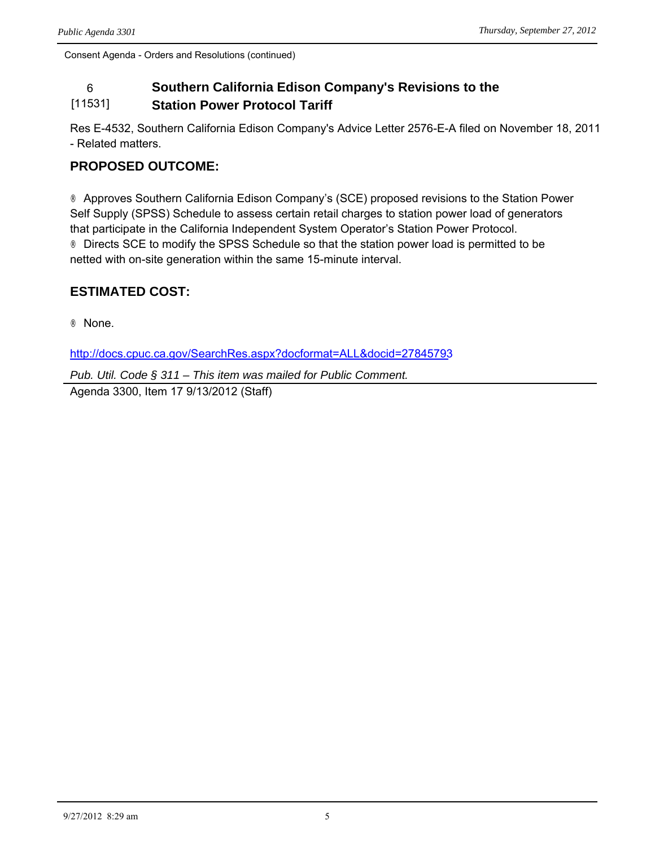#### 6 **Southern California Edison Company's Revisions to the**  [11531] **Station Power Protocol Tariff**

Res E-4532, Southern California Edison Company's Advice Letter 2576-E-A filed on November 18, 2011 - Related matters.

## **PROPOSED OUTCOME:**

® Approves Southern California Edison Company's (SCE) proposed revisions to the Station Power Self Supply (SPSS) Schedule to assess certain retail charges to station power load of generators that participate in the California Independent System Operator's Station Power Protocol. ® Directs SCE to modify the SPSS Schedule so that the station power load is permitted to be netted with on-site generation within the same 15-minute interval.

## **ESTIMATED COST:**

® None.

<http://docs.cpuc.ca.gov/SearchRes.aspx?docformat=ALL&docid=27845793>

*Pub. Util. Code § 311 – This item was mailed for Public Comment.* Agenda 3300, Item 17 9/13/2012 (Staff)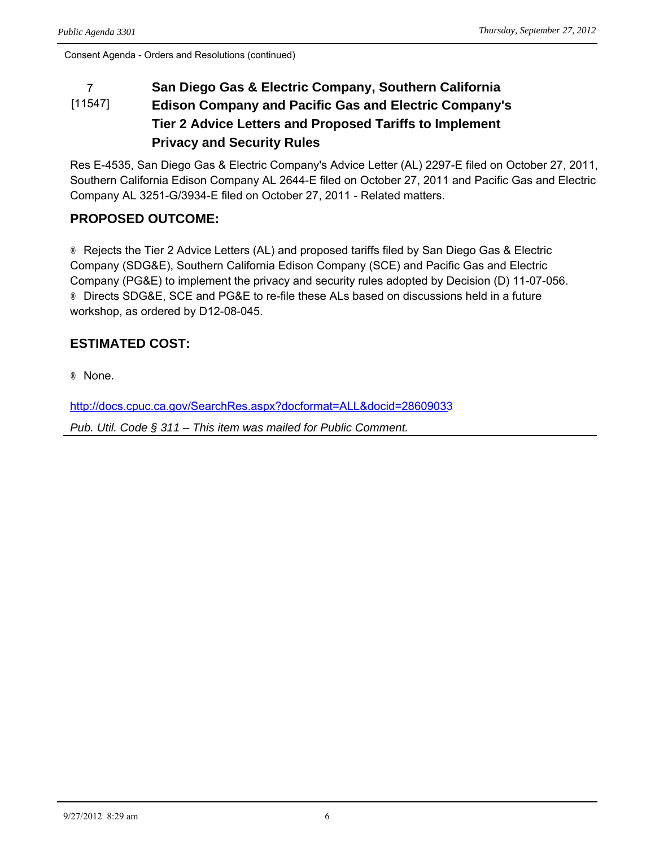#### 7 **San Diego Gas & Electric Company, Southern California**  [11547] **Edison Company and Pacific Gas and Electric Company's Tier 2 Advice Letters and Proposed Tariffs to Implement Privacy and Security Rules**

Res E-4535, San Diego Gas & Electric Company's Advice Letter (AL) 2297-E filed on October 27, 2011, Southern California Edison Company AL 2644-E filed on October 27, 2011 and Pacific Gas and Electric Company AL 3251-G/3934-E filed on October 27, 2011 - Related matters.

## **PROPOSED OUTCOME:**

® Rejects the Tier 2 Advice Letters (AL) and proposed tariffs filed by San Diego Gas & Electric Company (SDG&E), Southern California Edison Company (SCE) and Pacific Gas and Electric Company (PG&E) to implement the privacy and security rules adopted by Decision (D) 11-07-056. ® Directs SDG&E, SCE and PG&E to re-file these ALs based on discussions held in a future workshop, as ordered by D12-08-045.

## **ESTIMATED COST:**

® None.

<http://docs.cpuc.ca.gov/SearchRes.aspx?docformat=ALL&docid=28609033>

*Pub. Util. Code § 311 – This item was mailed for Public Comment.*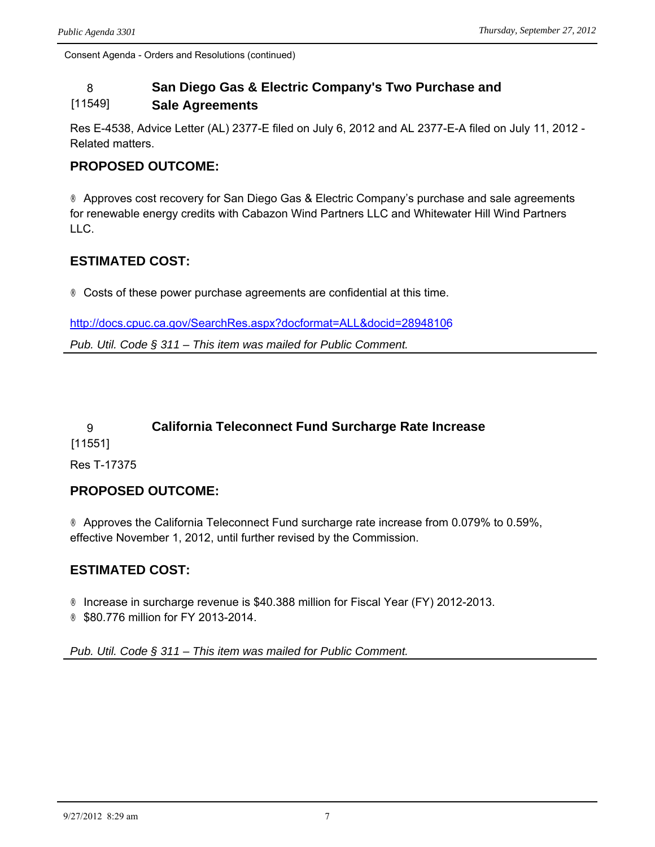#### 8 **San Diego Gas & Electric Company's Two Purchase and**  [11549] **Sale Agreements**

Res E-4538, Advice Letter (AL) 2377-E filed on July 6, 2012 and AL 2377-E-A filed on July 11, 2012 - Related matters.

## **PROPOSED OUTCOME:**

® Approves cost recovery for San Diego Gas & Electric Company's purchase and sale agreements for renewable energy credits with Cabazon Wind Partners LLC and Whitewater Hill Wind Partners LLC.

## **ESTIMATED COST:**

® Costs of these power purchase agreements are confidential at this time.

<http://docs.cpuc.ca.gov/SearchRes.aspx?docformat=ALL&docid=28948106>

*Pub. Util. Code § 311 – This item was mailed for Public Comment.*

## 9 **California Teleconnect Fund Surcharge Rate Increase**

[11551]

Res T-17375

## **PROPOSED OUTCOME:**

® Approves the California Teleconnect Fund surcharge rate increase from 0.079% to 0.59%, effective November 1, 2012, until further revised by the Commission.

## **ESTIMATED COST:**

® Increase in surcharge revenue is \$40.388 million for Fiscal Year (FY) 2012-2013. ® \$80.776 million for FY 2013-2014.

*Pub. Util. Code § 311 – This item was mailed for Public Comment.*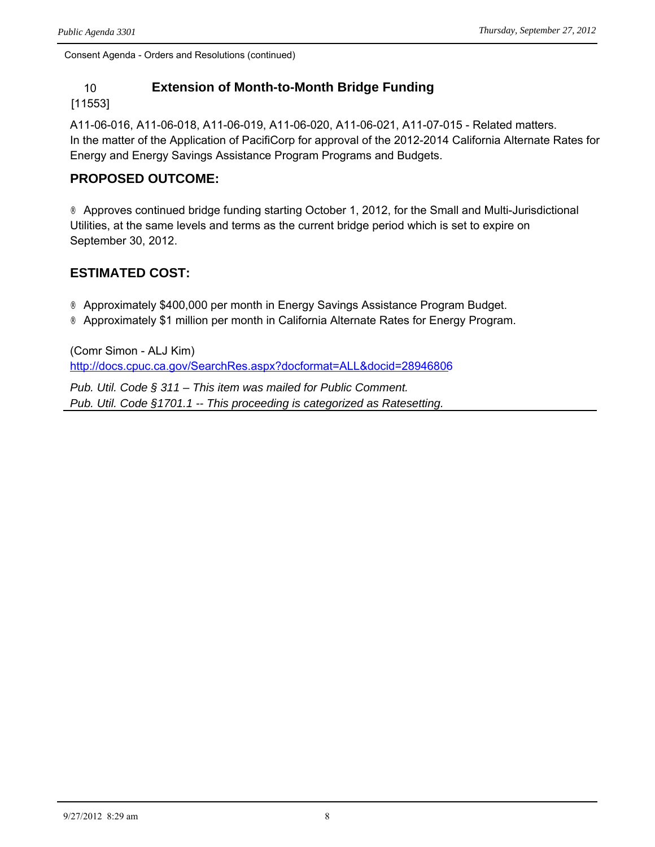## 10 **Extension of Month-to-Month Bridge Funding**

#### [11553]

A11-06-016, A11-06-018, A11-06-019, A11-06-020, A11-06-021, A11-07-015 - Related matters. In the matter of the Application of PacifiCorp for approval of the 2012-2014 California Alternate Rates for Energy and Energy Savings Assistance Program Programs and Budgets.

## **PROPOSED OUTCOME:**

® Approves continued bridge funding starting October 1, 2012, for the Small and Multi-Jurisdictional Utilities, at the same levels and terms as the current bridge period which is set to expire on September 30, 2012.

## **ESTIMATED COST:**

® Approximately \$400,000 per month in Energy Savings Assistance Program Budget. ® Approximately \$1 million per month in California Alternate Rates for Energy Program.

(Comr Simon - ALJ Kim) <http://docs.cpuc.ca.gov/SearchRes.aspx?docformat=ALL&docid=28946806>

*Pub. Util. Code § 311 – This item was mailed for Public Comment. Pub. Util. Code §1701.1 -- This proceeding is categorized as Ratesetting.*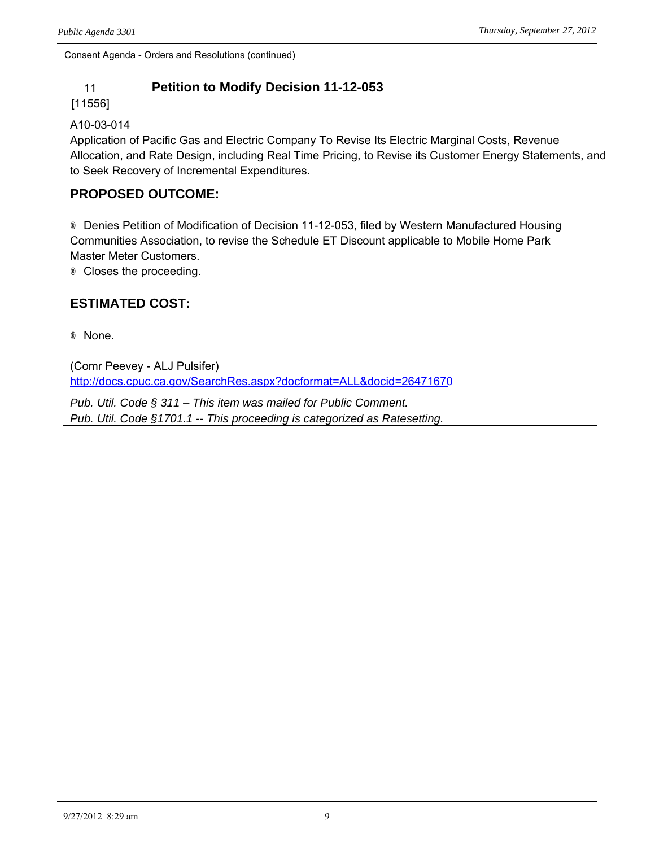## 11 **Petition to Modify Decision 11-12-053**

[11556]

#### A10-03-014

Application of Pacific Gas and Electric Company To Revise Its Electric Marginal Costs, Revenue Allocation, and Rate Design, including Real Time Pricing, to Revise its Customer Energy Statements, and to Seek Recovery of Incremental Expenditures.

## **PROPOSED OUTCOME:**

® Denies Petition of Modification of Decision 11-12-053, filed by Western Manufactured Housing Communities Association, to revise the Schedule ET Discount applicable to Mobile Home Park Master Meter Customers.

® Closes the proceeding.

## **ESTIMATED COST:**

® None.

(Comr Peevey - ALJ Pulsifer) <http://docs.cpuc.ca.gov/SearchRes.aspx?docformat=ALL&docid=26471670>

*Pub. Util. Code § 311 – This item was mailed for Public Comment. Pub. Util. Code §1701.1 -- This proceeding is categorized as Ratesetting.*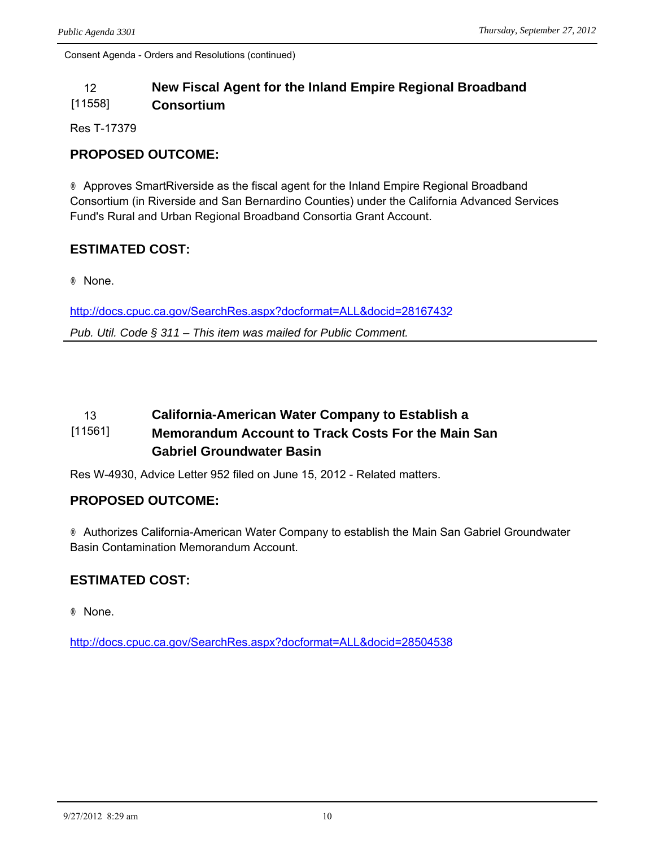#### 12 **New Fiscal Agent for the Inland Empire Regional Broadband**  [11558] **Consortium**

Res T-17379

## **PROPOSED OUTCOME:**

® Approves SmartRiverside as the fiscal agent for the Inland Empire Regional Broadband Consortium (in Riverside and San Bernardino Counties) under the California Advanced Services Fund's Rural and Urban Regional Broadband Consortia Grant Account.

## **ESTIMATED COST:**

® None.

<http://docs.cpuc.ca.gov/SearchRes.aspx?docformat=ALL&docid=28167432> *Pub. Util. Code § 311 – This item was mailed for Public Comment.*

#### 13 **California-American Water Company to Establish a**  [11561] **Memorandum Account to Track Costs For the Main San Gabriel Groundwater Basin**

Res W-4930, Advice Letter 952 filed on June 15, 2012 - Related matters.

## **PROPOSED OUTCOME:**

® Authorizes California-American Water Company to establish the Main San Gabriel Groundwater Basin Contamination Memorandum Account.

## **ESTIMATED COST:**

® None.

<http://docs.cpuc.ca.gov/SearchRes.aspx?docformat=ALL&docid=28504538>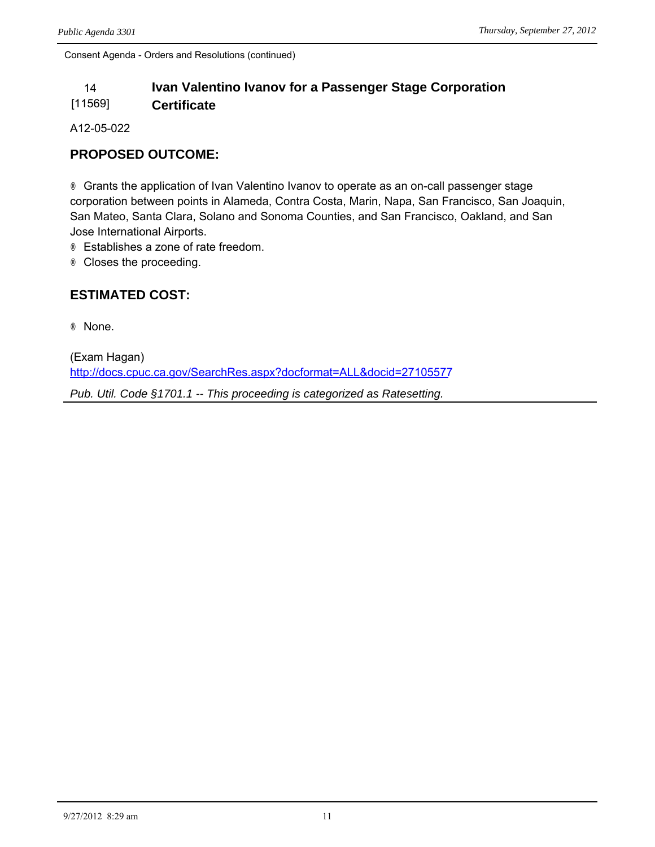#### 14 **Ivan Valentino Ivanov for a Passenger Stage Corporation**  [11569] **Certificate**

A12-05-022

## **PROPOSED OUTCOME:**

® Grants the application of Ivan Valentino Ivanov to operate as an on-call passenger stage corporation between points in Alameda, Contra Costa, Marin, Napa, San Francisco, San Joaquin, San Mateo, Santa Clara, Solano and Sonoma Counties, and San Francisco, Oakland, and San Jose International Airports.

® Establishes a zone of rate freedom.

® Closes the proceeding.

## **ESTIMATED COST:**

® None.

(Exam Hagan) <http://docs.cpuc.ca.gov/SearchRes.aspx?docformat=ALL&docid=27105577>

*Pub. Util. Code §1701.1 -- This proceeding is categorized as Ratesetting.*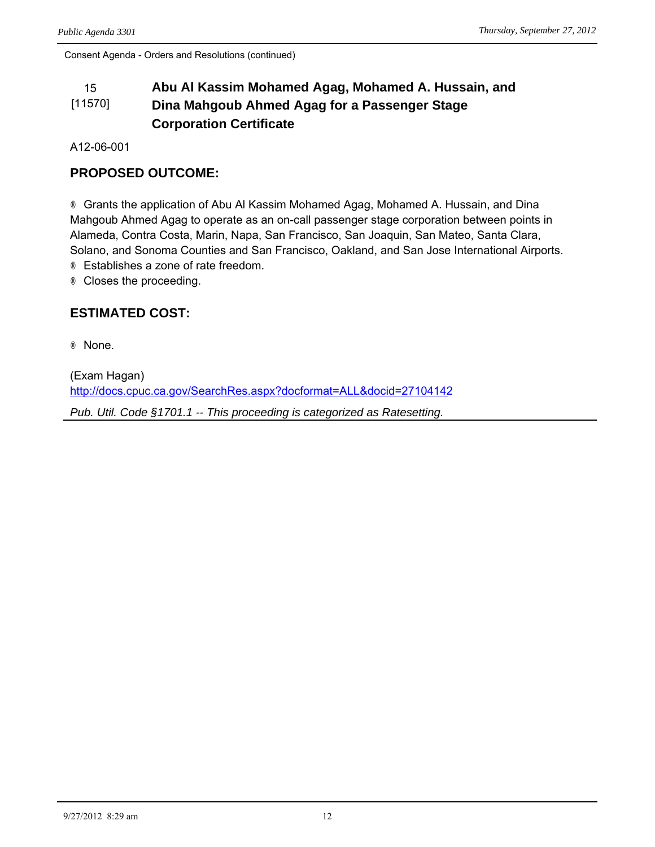#### 15 **Abu Al Kassim Mohamed Agag, Mohamed A. Hussain, and**  [11570] **Dina Mahgoub Ahmed Agag for a Passenger Stage Corporation Certificate**

A12-06-001

## **PROPOSED OUTCOME:**

® Grants the application of Abu Al Kassim Mohamed Agag, Mohamed A. Hussain, and Dina Mahgoub Ahmed Agag to operate as an on-call passenger stage corporation between points in Alameda, Contra Costa, Marin, Napa, San Francisco, San Joaquin, San Mateo, Santa Clara, Solano, and Sonoma Counties and San Francisco, Oakland, and San Jose International Airports. ® Establishes a zone of rate freedom.

® Closes the proceeding.

## **ESTIMATED COST:**

® None.

(Exam Hagan) <http://docs.cpuc.ca.gov/SearchRes.aspx?docformat=ALL&docid=27104142>

*Pub. Util. Code §1701.1 -- This proceeding is categorized as Ratesetting.*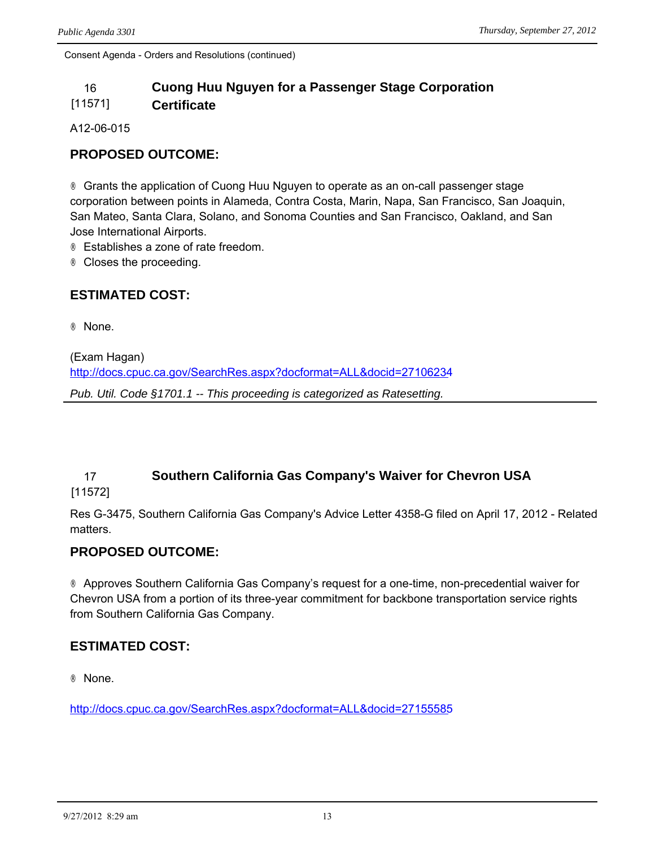#### 16 **Cuong Huu Nguyen for a Passenger Stage Corporation**  [11571] **Certificate**

A12-06-015

### **PROPOSED OUTCOME:**

® Grants the application of Cuong Huu Nguyen to operate as an on-call passenger stage corporation between points in Alameda, Contra Costa, Marin, Napa, San Francisco, San Joaquin, San Mateo, Santa Clara, Solano, and Sonoma Counties and San Francisco, Oakland, and San Jose International Airports.

® Establishes a zone of rate freedom.

® Closes the proceeding.

#### **ESTIMATED COST:**

® None.

(Exam Hagan)

<http://docs.cpuc.ca.gov/SearchRes.aspx?docformat=ALL&docid=27106234>

*Pub. Util. Code §1701.1 -- This proceeding is categorized as Ratesetting.*

## 17 **Southern California Gas Company's Waiver for Chevron USA**

[11572]

Res G-3475, Southern California Gas Company's Advice Letter 4358-G filed on April 17, 2012 - Related matters.

#### **PROPOSED OUTCOME:**

® Approves Southern California Gas Company's request for a one-time, non-precedential waiver for Chevron USA from a portion of its three-year commitment for backbone transportation service rights from Southern California Gas Company.

#### **ESTIMATED COST:**

® None.

<http://docs.cpuc.ca.gov/SearchRes.aspx?docformat=ALL&docid=27155585>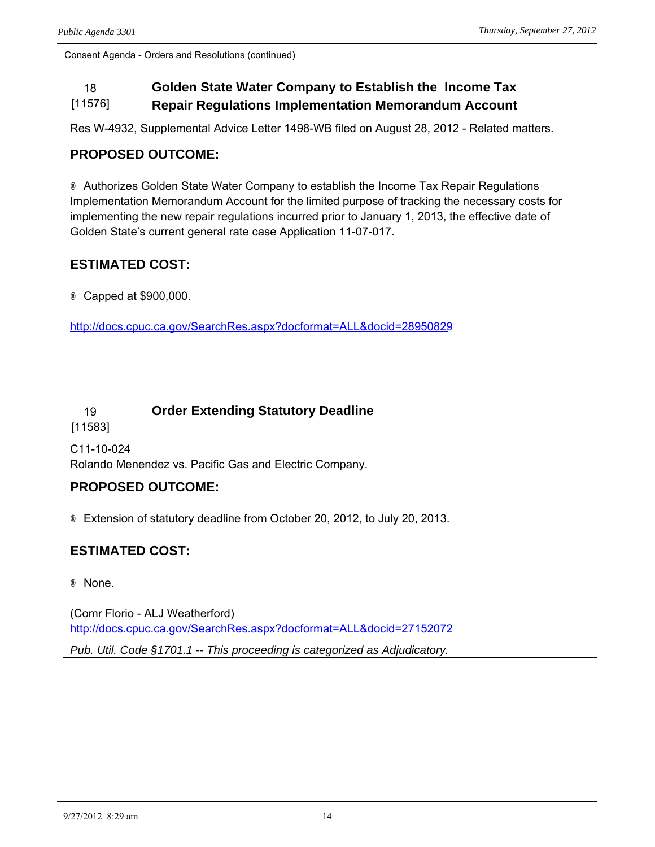#### 18 **Golden State Water Company to Establish the Income Tax**  [11576] **Repair Regulations Implementation Memorandum Account**

Res W-4932, Supplemental Advice Letter 1498-WB filed on August 28, 2012 - Related matters.

## **PROPOSED OUTCOME:**

® Authorizes Golden State Water Company to establish the Income Tax Repair Regulations Implementation Memorandum Account for the limited purpose of tracking the necessary costs for implementing the new repair regulations incurred prior to January 1, 2013, the effective date of Golden State's current general rate case Application 11-07-017.

## **ESTIMATED COST:**

® Capped at \$900,000.

<http://docs.cpuc.ca.gov/SearchRes.aspx?docformat=ALL&docid=28950829>

## 19 **Order Extending Statutory Deadline**

[11583]

C11-10-024 Rolando Menendez vs. Pacific Gas and Electric Company.

## **PROPOSED OUTCOME:**

® Extension of statutory deadline from October 20, 2012, to July 20, 2013.

## **ESTIMATED COST:**

® None.

(Comr Florio - ALJ Weatherford) <http://docs.cpuc.ca.gov/SearchRes.aspx?docformat=ALL&docid=27152072> *Pub. Util. Code §1701.1 -- This proceeding is categorized as Adjudicatory.*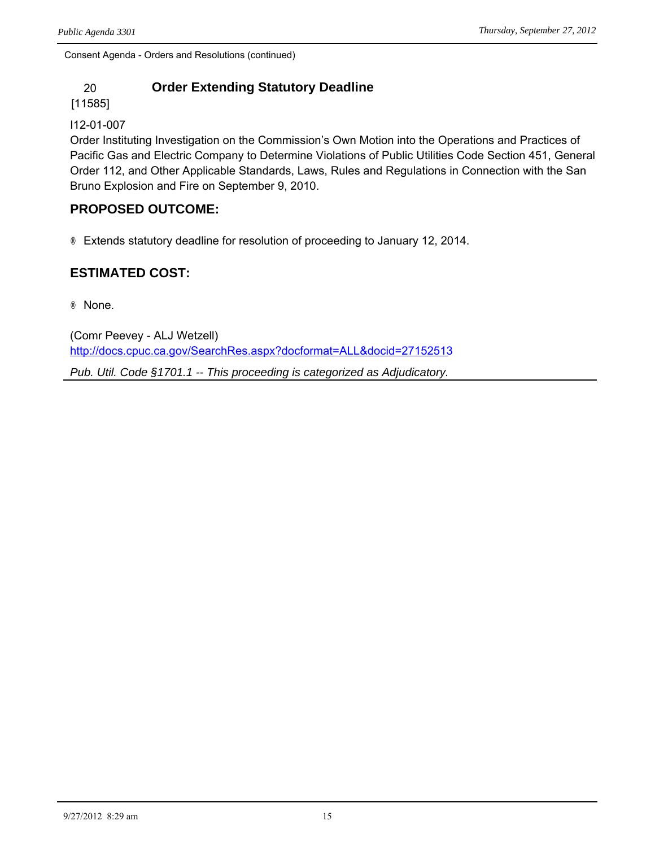## 20 **Order Extending Statutory Deadline**

[11585]

#### I12-01-007

Order Instituting Investigation on the Commission's Own Motion into the Operations and Practices of Pacific Gas and Electric Company to Determine Violations of Public Utilities Code Section 451, General Order 112, and Other Applicable Standards, Laws, Rules and Regulations in Connection with the San Bruno Explosion and Fire on September 9, 2010.

### **PROPOSED OUTCOME:**

® Extends statutory deadline for resolution of proceeding to January 12, 2014.

## **ESTIMATED COST:**

® None.

(Comr Peevey - ALJ Wetzell) <http://docs.cpuc.ca.gov/SearchRes.aspx?docformat=ALL&docid=27152513>

*Pub. Util. Code §1701.1 -- This proceeding is categorized as Adjudicatory.*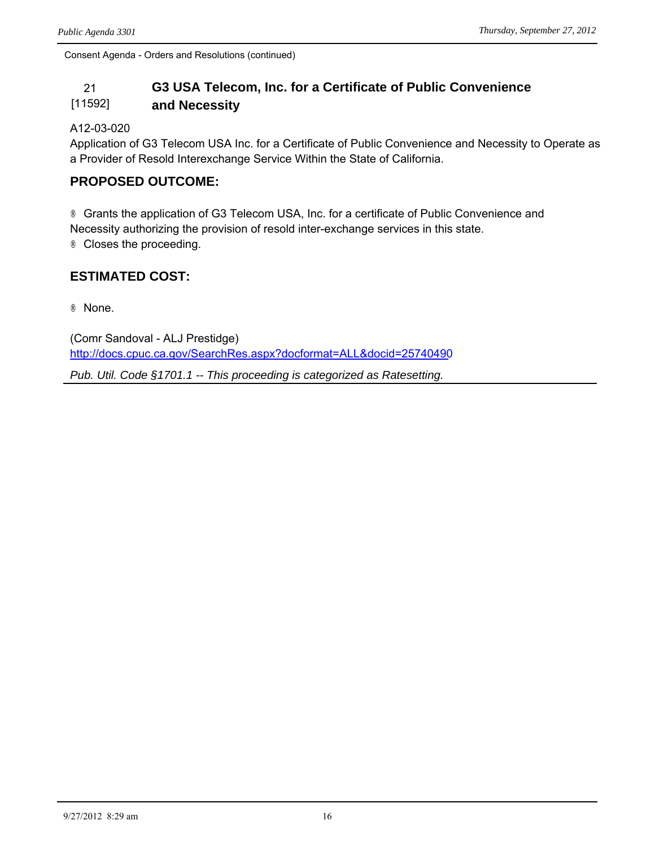#### 21 **G3 USA Telecom, Inc. for a Certificate of Public Convenience**  [11592] **and Necessity**

#### A12-03-020

Application of G3 Telecom USA Inc. for a Certificate of Public Convenience and Necessity to Operate as a Provider of Resold Interexchange Service Within the State of California.

### **PROPOSED OUTCOME:**

® Grants the application of G3 Telecom USA, Inc. for a certificate of Public Convenience and Necessity authorizing the provision of resold inter-exchange services in this state. ® Closes the proceeding.

## **ESTIMATED COST:**

® None.

(Comr Sandoval - ALJ Prestidge) <http://docs.cpuc.ca.gov/SearchRes.aspx?docformat=ALL&docid=25740490>

*Pub. Util. Code §1701.1 -- This proceeding is categorized as Ratesetting.*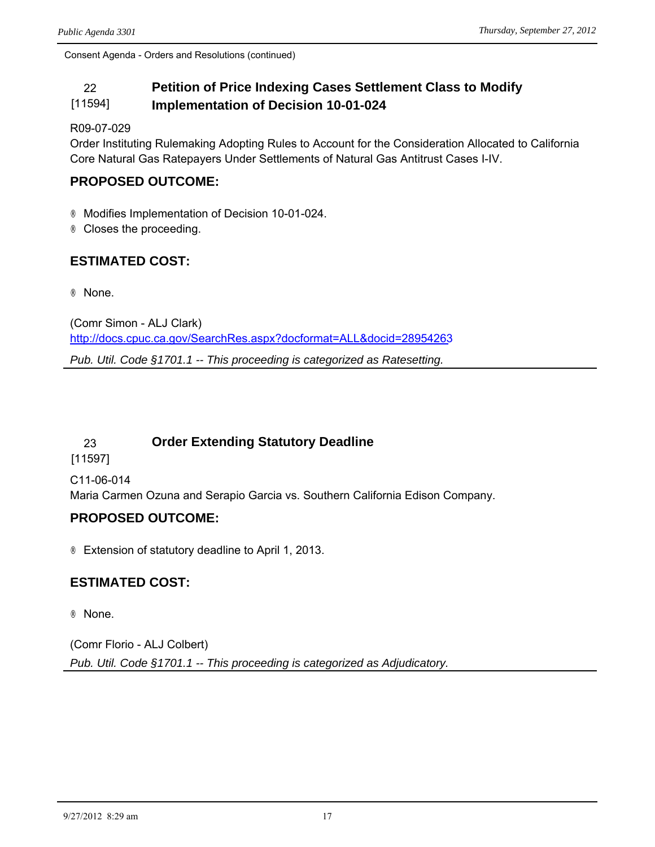#### 22 **Petition of Price Indexing Cases Settlement Class to Modify**  [11594] **Implementation of Decision 10-01-024**

R09-07-029

Order Instituting Rulemaking Adopting Rules to Account for the Consideration Allocated to California Core Natural Gas Ratepayers Under Settlements of Natural Gas Antitrust Cases I-IV.

## **PROPOSED OUTCOME:**

® Modifies Implementation of Decision 10-01-024.

® Closes the proceeding.

## **ESTIMATED COST:**

® None.

(Comr Simon - ALJ Clark) <http://docs.cpuc.ca.gov/SearchRes.aspx?docformat=ALL&docid=28954263>

*Pub. Util. Code §1701.1 -- This proceeding is categorized as Ratesetting.*

## 23 **Order Extending Statutory Deadline**

[11597]

C11-06-014

Maria Carmen Ozuna and Serapio Garcia vs. Southern California Edison Company.

## **PROPOSED OUTCOME:**

® Extension of statutory deadline to April 1, 2013.

## **ESTIMATED COST:**

® None.

(Comr Florio - ALJ Colbert) *Pub. Util. Code §1701.1 -- This proceeding is categorized as Adjudicatory.*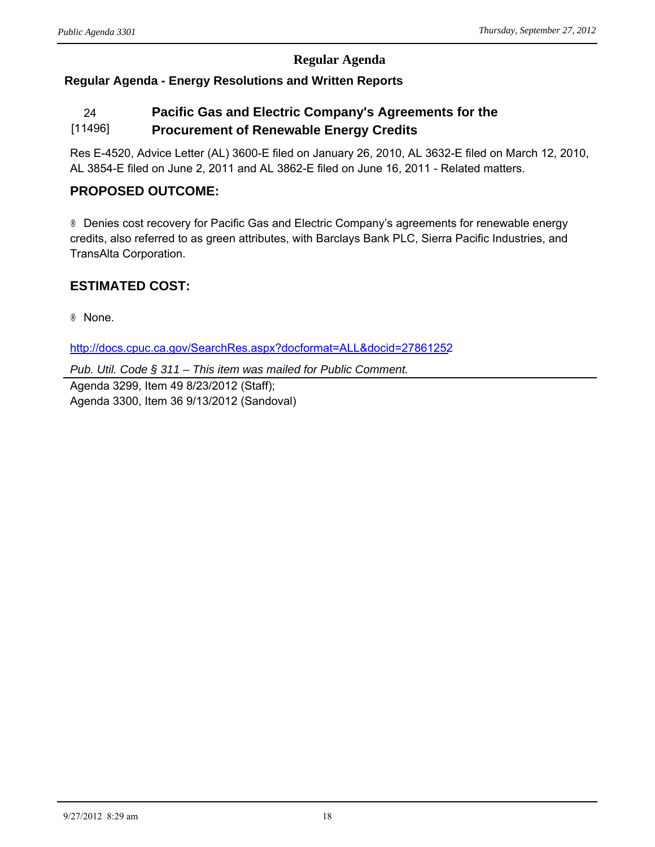## **Regular Agenda**

## **Regular Agenda - Energy Resolutions and Written Reports**

#### 24 **Pacific Gas and Electric Company's Agreements for the**  [11496] **Procurement of Renewable Energy Credits**

Res E-4520, Advice Letter (AL) 3600-E filed on January 26, 2010, AL 3632-E filed on March 12, 2010, AL 3854-E filed on June 2, 2011 and AL 3862-E filed on June 16, 2011 - Related matters.

### **PROPOSED OUTCOME:**

® Denies cost recovery for Pacific Gas and Electric Company's agreements for renewable energy credits, also referred to as green attributes, with Barclays Bank PLC, Sierra Pacific Industries, and TransAlta Corporation.

## **ESTIMATED COST:**

® None.

<http://docs.cpuc.ca.gov/SearchRes.aspx?docformat=ALL&docid=27861252>

*Pub. Util. Code § 311 – This item was mailed for Public Comment.*

Agenda 3299, Item 49 8/23/2012 (Staff); Agenda 3300, Item 36 9/13/2012 (Sandoval)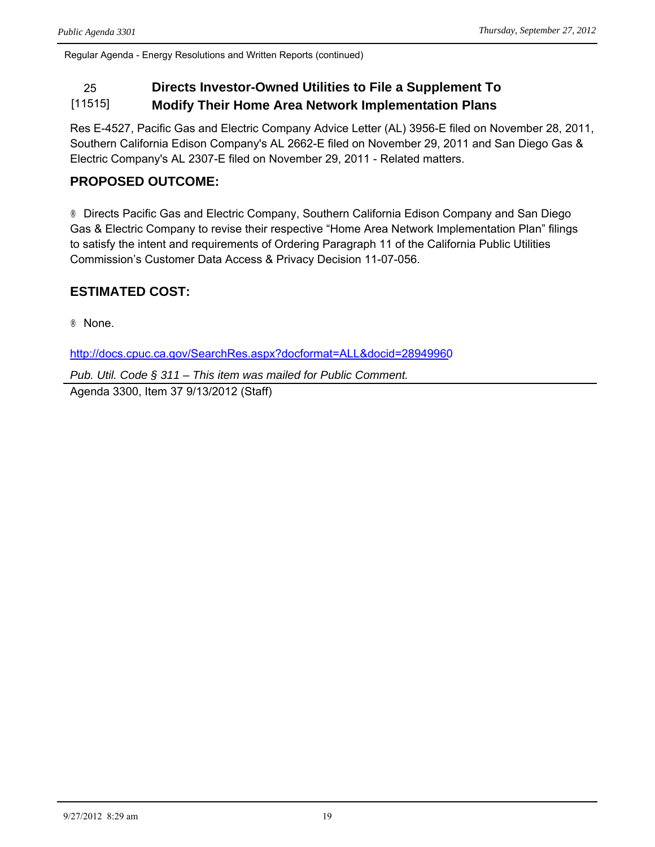Regular Agenda - Energy Resolutions and Written Reports (continued)

# 25 **Directs Investor-Owned Utilities to File a Supplement To**

[11515] **Modify Their Home Area Network Implementation Plans**

Res E-4527, Pacific Gas and Electric Company Advice Letter (AL) 3956-E filed on November 28, 2011, Southern California Edison Company's AL 2662-E filed on November 29, 2011 and San Diego Gas & Electric Company's AL 2307-E filed on November 29, 2011 - Related matters.

## **PROPOSED OUTCOME:**

® Directs Pacific Gas and Electric Company, Southern California Edison Company and San Diego Gas & Electric Company to revise their respective "Home Area Network Implementation Plan" filings to satisfy the intent and requirements of Ordering Paragraph 11 of the California Public Utilities Commission's Customer Data Access & Privacy Decision 11-07-056.

## **ESTIMATED COST:**

® None.

<http://docs.cpuc.ca.gov/SearchRes.aspx?docformat=ALL&docid=28949960>

*Pub. Util. Code § 311 – This item was mailed for Public Comment.* Agenda 3300, Item 37 9/13/2012 (Staff)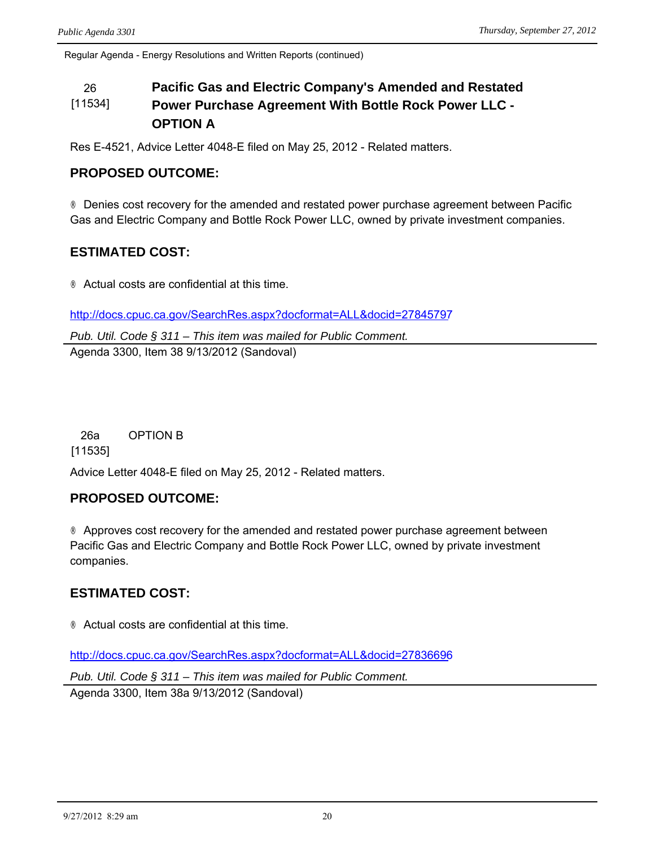Regular Agenda - Energy Resolutions and Written Reports (continued)

#### 26 **Pacific Gas and Electric Company's Amended and Restated**  [11534] **Power Purchase Agreement With Bottle Rock Power LLC - OPTION A**

Res E-4521, Advice Letter 4048-E filed on May 25, 2012 - Related matters.

### **PROPOSED OUTCOME:**

® Denies cost recovery for the amended and restated power purchase agreement between Pacific Gas and Electric Company and Bottle Rock Power LLC, owned by private investment companies.

### **ESTIMATED COST:**

® Actual costs are confidential at this time.

<http://docs.cpuc.ca.gov/SearchRes.aspx?docformat=ALL&docid=27845797>

*Pub. Util. Code § 311 – This item was mailed for Public Comment.* Agenda 3300, Item 38 9/13/2012 (Sandoval)

26a OPTION B

[11535]

Advice Letter 4048-E filed on May 25, 2012 - Related matters.

#### **PROPOSED OUTCOME:**

® Approves cost recovery for the amended and restated power purchase agreement between Pacific Gas and Electric Company and Bottle Rock Power LLC, owned by private investment companies.

## **ESTIMATED COST:**

® Actual costs are confidential at this time.

<http://docs.cpuc.ca.gov/SearchRes.aspx?docformat=ALL&docid=27836696>

*Pub. Util. Code § 311 – This item was mailed for Public Comment.*

Agenda 3300, Item 38a 9/13/2012 (Sandoval)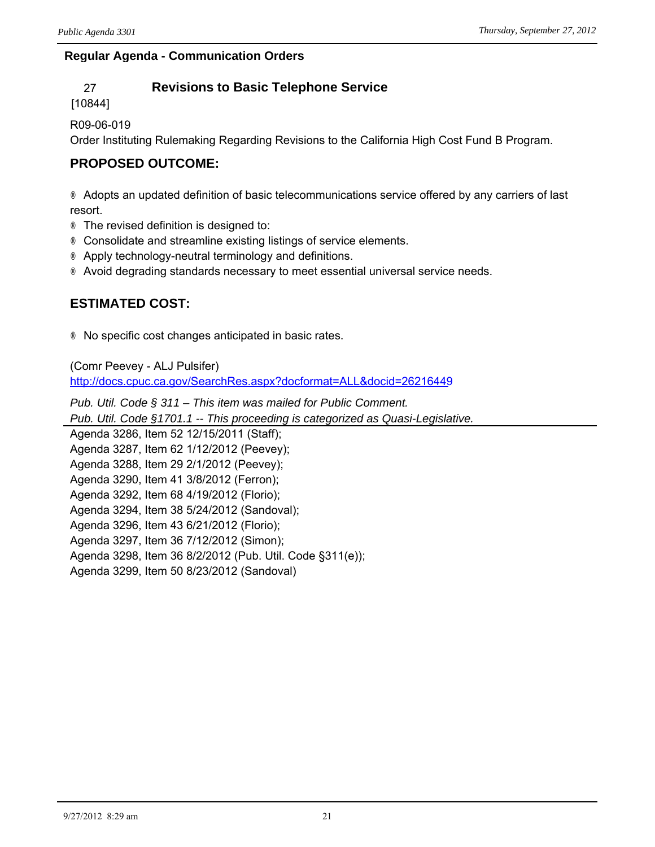#### **Regular Agenda - Communication Orders**

## 27 **Revisions to Basic Telephone Service**

[10844]

R09-06-019

Order Instituting Rulemaking Regarding Revisions to the California High Cost Fund B Program.

## **PROPOSED OUTCOME:**

® Adopts an updated definition of basic telecommunications service offered by any carriers of last resort.

- ® The revised definition is designed to:
- ® Consolidate and streamline existing listings of service elements.
- ® Apply technology-neutral terminology and definitions.
- ® Avoid degrading standards necessary to meet essential universal service needs.

## **ESTIMATED COST:**

® No specific cost changes anticipated in basic rates.

(Comr Peevey - ALJ Pulsifer) <http://docs.cpuc.ca.gov/SearchRes.aspx?docformat=ALL&docid=26216449>

*Pub. Util. Code § 311 – This item was mailed for Public Comment. Pub. Util. Code §1701.1 -- This proceeding is categorized as Quasi-Legislative.* Agenda 3286, Item 52 12/15/2011 (Staff); Agenda 3287, Item 62 1/12/2012 (Peevey); Agenda 3288, Item 29 2/1/2012 (Peevey); Agenda 3290, Item 41 3/8/2012 (Ferron); Agenda 3292, Item 68 4/19/2012 (Florio); Agenda 3294, Item 38 5/24/2012 (Sandoval); Agenda 3296, Item 43 6/21/2012 (Florio); Agenda 3297, Item 36 7/12/2012 (Simon); Agenda 3298, Item 36 8/2/2012 (Pub. Util. Code §311(e)); Agenda 3299, Item 50 8/23/2012 (Sandoval)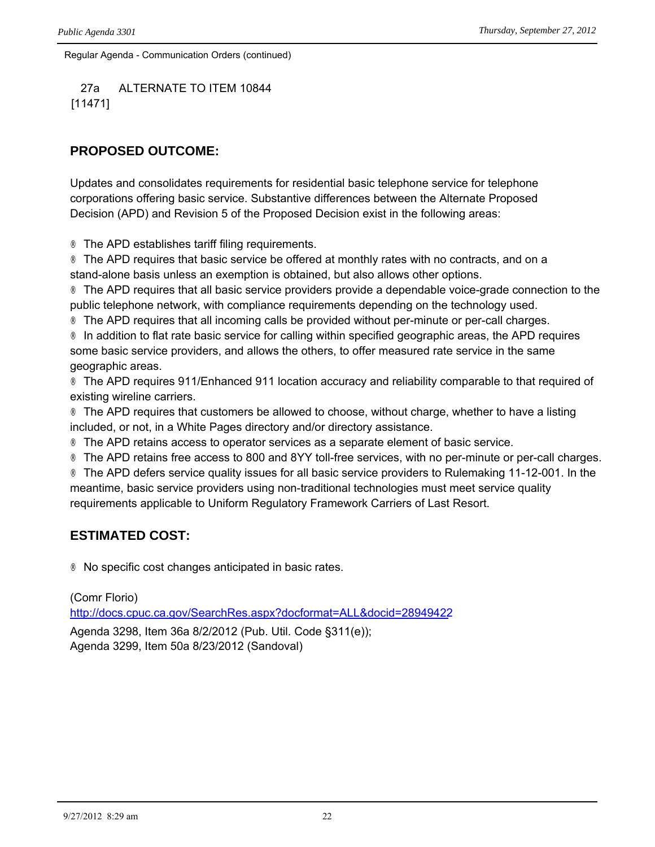Regular Agenda - Communication Orders (continued)

27a ALTERNATE TO ITEM 10844 [11471]

## **PROPOSED OUTCOME:**

Updates and consolidates requirements for residential basic telephone service for telephone corporations offering basic service. Substantive differences between the Alternate Proposed Decision (APD) and Revision 5 of the Proposed Decision exist in the following areas:

® The APD establishes tariff filing requirements.

® The APD requires that basic service be offered at monthly rates with no contracts, and on a stand-alone basis unless an exemption is obtained, but also allows other options.

® The APD requires that all basic service providers provide a dependable voice-grade connection to the public telephone network, with compliance requirements depending on the technology used.

® The APD requires that all incoming calls be provided without per-minute or per-call charges.

® In addition to flat rate basic service for calling within specified geographic areas, the APD requires some basic service providers, and allows the others, to offer measured rate service in the same geographic areas.

® The APD requires 911/Enhanced 911 location accuracy and reliability comparable to that required of existing wireline carriers.

® The APD requires that customers be allowed to choose, without charge, whether to have a listing included, or not, in a White Pages directory and/or directory assistance.

® The APD retains access to operator services as a separate element of basic service.

® The APD retains free access to 800 and 8YY toll-free services, with no per-minute or per-call charges.

® The APD defers service quality issues for all basic service providers to Rulemaking 11-12-001. In the meantime, basic service providers using non-traditional technologies must meet service quality requirements applicable to Uniform Regulatory Framework Carriers of Last Resort.

## **ESTIMATED COST:**

® No specific cost changes anticipated in basic rates.

(Comr Florio) <http://docs.cpuc.ca.gov/SearchRes.aspx?docformat=ALL&docid=28949422>

Agenda 3298, Item 36a 8/2/2012 (Pub. Util. Code §311(e)); Agenda 3299, Item 50a 8/23/2012 (Sandoval)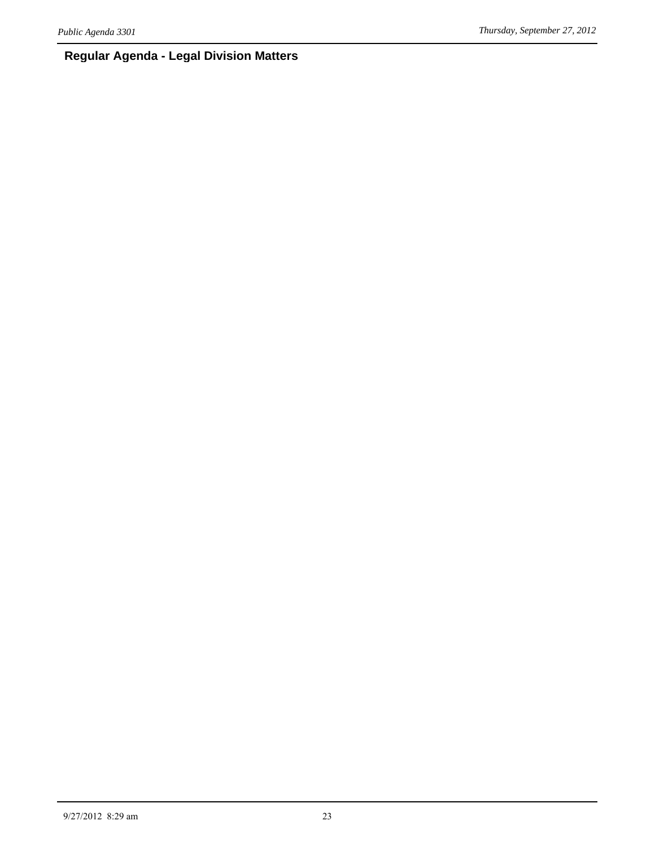## **Regular Agenda - Legal Division Matters**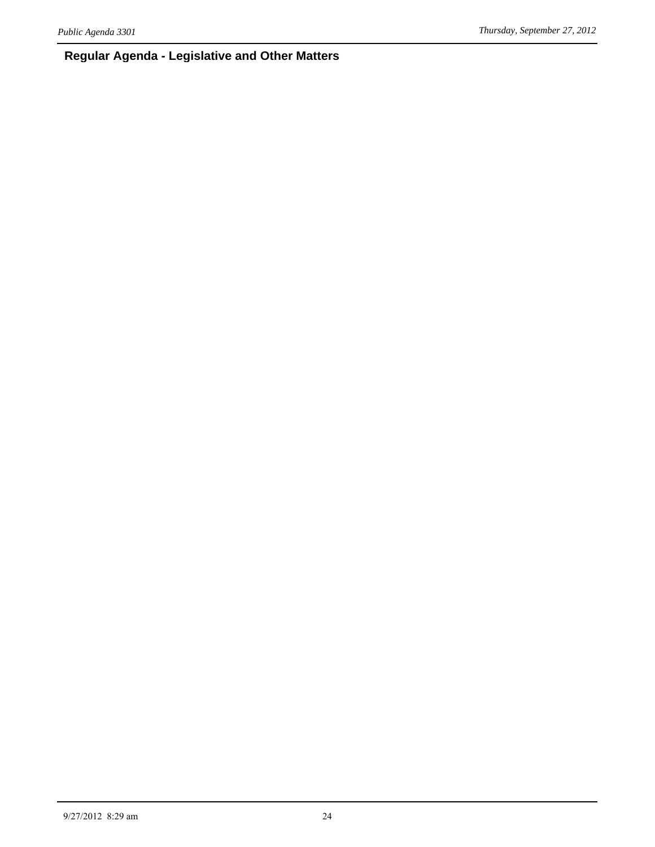## **Regular Agenda - Legislative and Other Matters**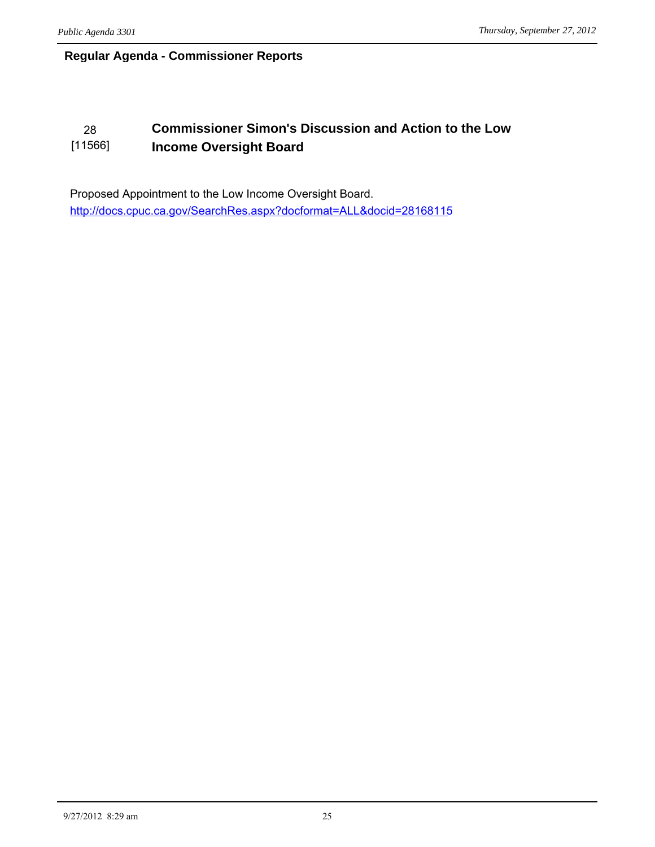## **Regular Agenda - Commissioner Reports**

#### 28 **Commissioner Simon's Discussion and Action to the Low**  [11566] **Income Oversight Board**

Proposed Appointment to the Low Income Oversight Board. <http://docs.cpuc.ca.gov/SearchRes.aspx?docformat=ALL&docid=28168115>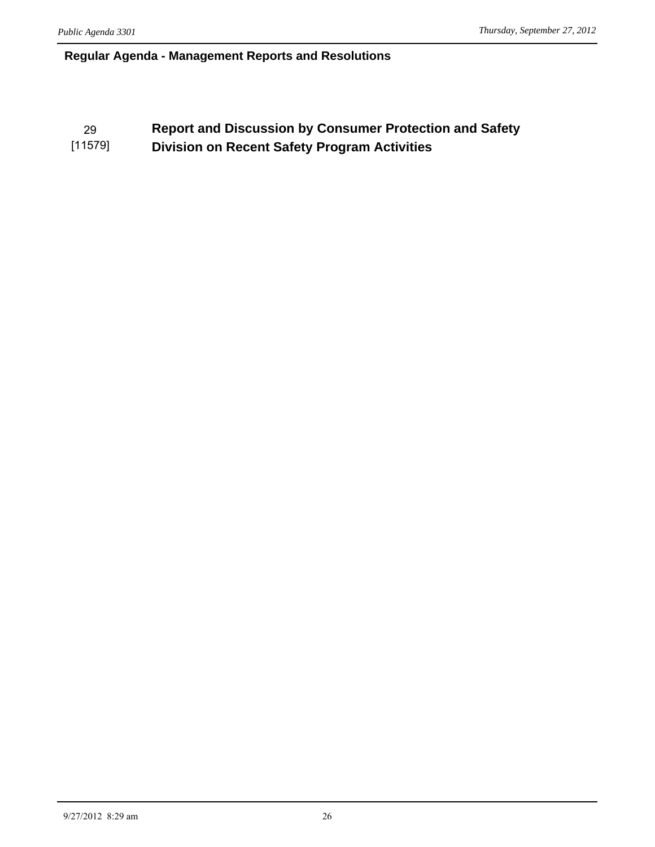### **Regular Agenda - Management Reports and Resolutions**

#### 29 **Report and Discussion by Consumer Protection and Safety**  [11579] **Division on Recent Safety Program Activities**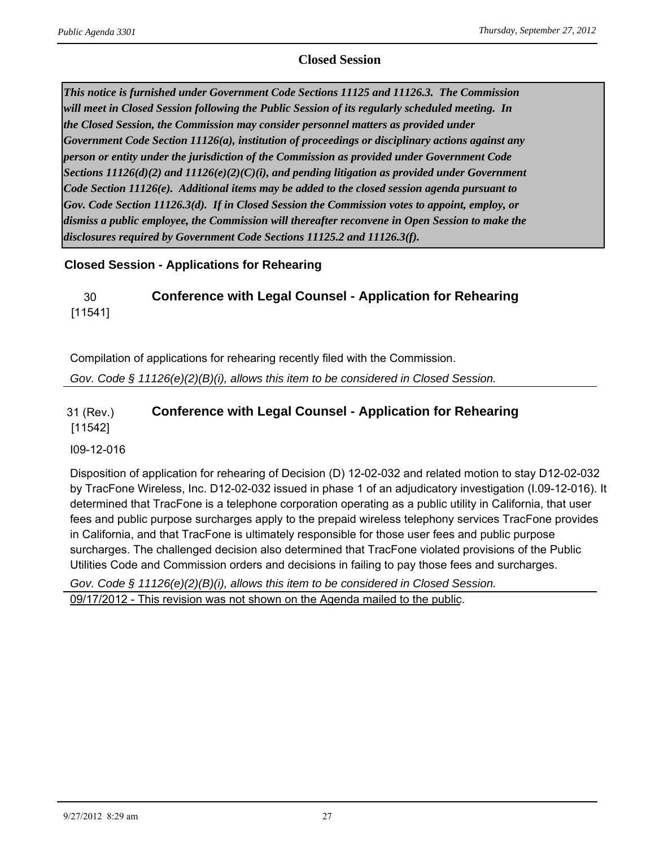### **Closed Session**

*This notice is furnished under Government Code Sections 11125 and 11126.3. The Commission will meet in Closed Session following the Public Session of its regularly scheduled meeting. In the Closed Session, the Commission may consider personnel matters as provided under Government Code Section 11126(a), institution of proceedings or disciplinary actions against any person or entity under the jurisdiction of the Commission as provided under Government Code Sections 11126(d)(2) and 11126(e)(2)(C)(i), and pending litigation as provided under Government Code Section 11126(e). Additional items may be added to the closed session agenda pursuant to Gov. Code Section 11126.3(d). If in Closed Session the Commission votes to appoint, employ, or dismiss a public employee, the Commission will thereafter reconvene in Open Session to make the disclosures required by Government Code Sections 11125.2 and 11126.3(f).*

### **Closed Session - Applications for Rehearing**

### 30 **Conference with Legal Counsel - Application for Rehearing** [11541]

Compilation of applications for rehearing recently filed with the Commission.

*Gov. Code § 11126(e)(2)(B)(i), allows this item to be considered in Closed Session.*

#### 31 (Rev.) [11542] **Conference with Legal Counsel - Application for Rehearing**

#### I09-12-016

Disposition of application for rehearing of Decision (D) 12-02-032 and related motion to stay D12-02-032 by TracFone Wireless, Inc. D12-02-032 issued in phase 1 of an adjudicatory investigation (I.09-12-016). It determined that TracFone is a telephone corporation operating as a public utility in California, that user fees and public purpose surcharges apply to the prepaid wireless telephony services TracFone provides in California, and that TracFone is ultimately responsible for those user fees and public purpose surcharges. The challenged decision also determined that TracFone violated provisions of the Public Utilities Code and Commission orders and decisions in failing to pay those fees and surcharges.

*Gov. Code § 11126(e)(2)(B)(i), allows this item to be considered in Closed Session.* 09/17/2012 - This revision was not shown on the Agenda mailed to the public.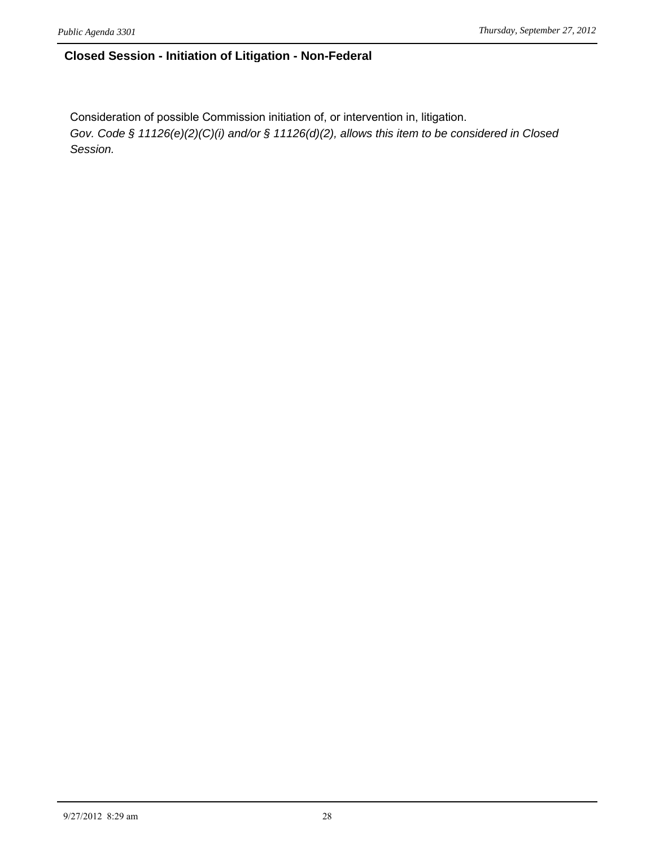### **Closed Session - Initiation of Litigation - Non-Federal**

Consideration of possible Commission initiation of, or intervention in, litigation. *Gov. Code § 11126(e)(2)(C)(i) and/or § 11126(d)(2), allows this item to be considered in Closed Session.*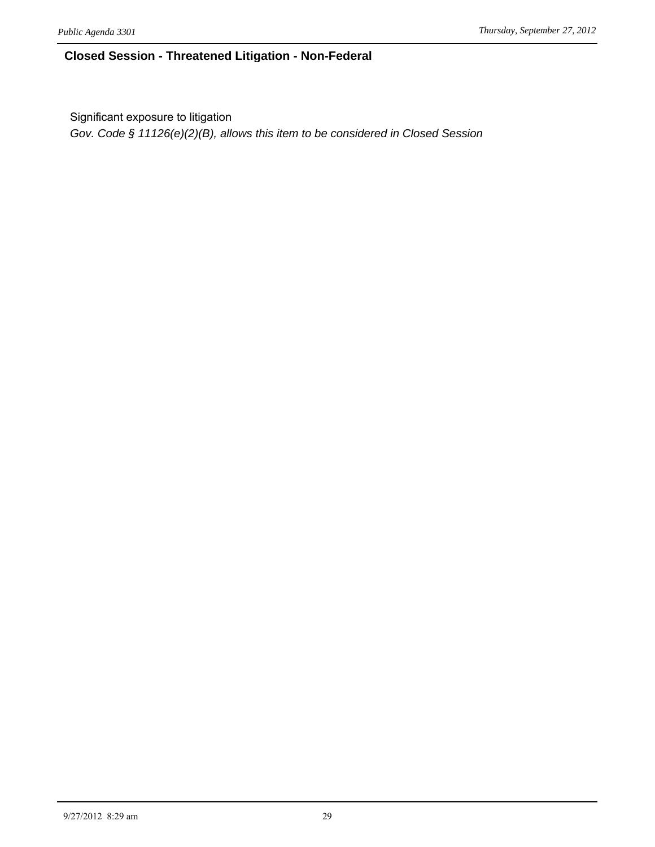### **Closed Session - Threatened Litigation - Non-Federal**

Significant exposure to litigation

*Gov. Code § 11126(e)(2)(B), allows this item to be considered in Closed Session*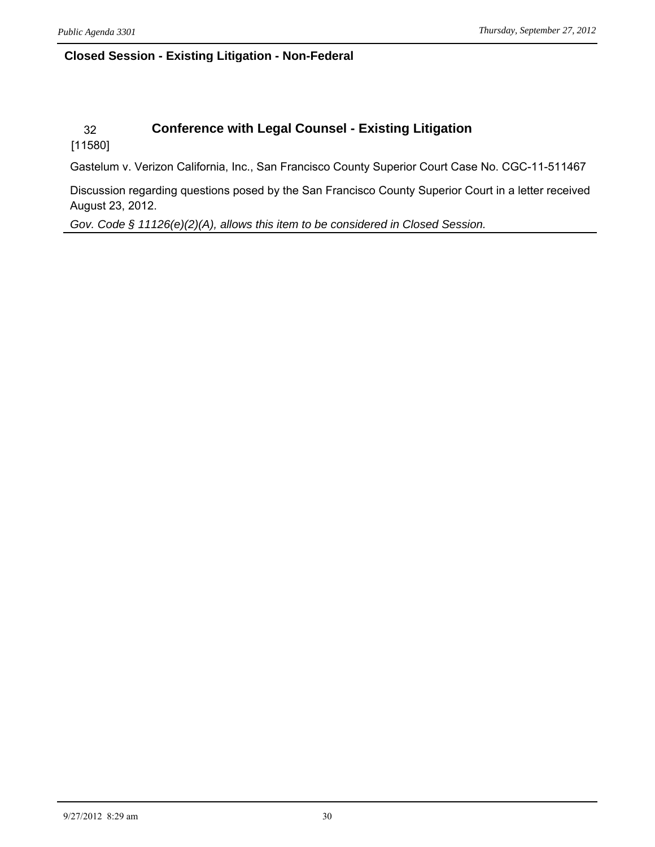## **Closed Session - Existing Litigation - Non-Federal**

## 32 **Conference with Legal Counsel - Existing Litigation**

[11580]

Gastelum v. Verizon California, Inc., San Francisco County Superior Court Case No. CGC-11-511467

Discussion regarding questions posed by the San Francisco County Superior Court in a letter received August 23, 2012.

*Gov. Code § 11126(e)(2)(A), allows this item to be considered in Closed Session.*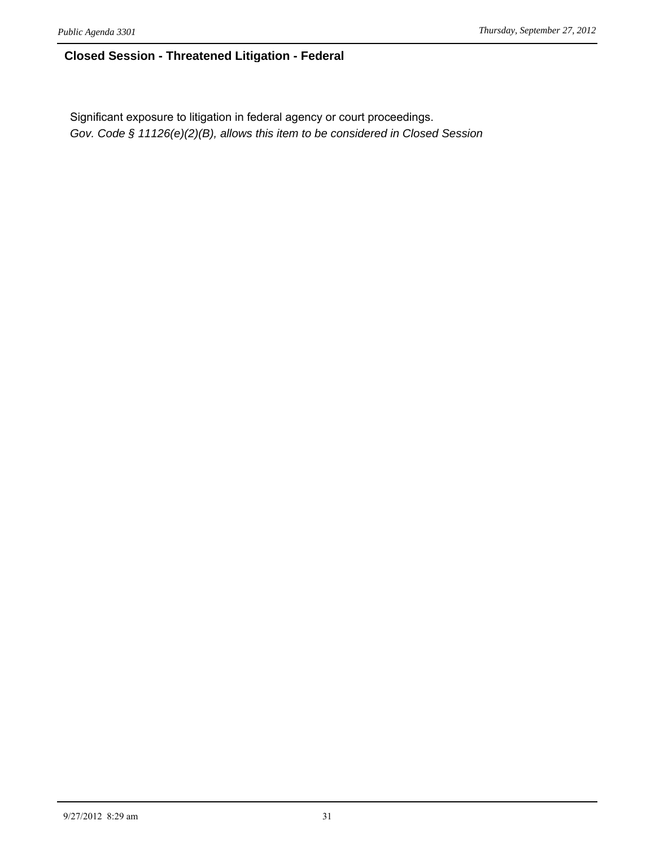### **Closed Session - Threatened Litigation - Federal**

Significant exposure to litigation in federal agency or court proceedings. *Gov. Code § 11126(e)(2)(B), allows this item to be considered in Closed Session*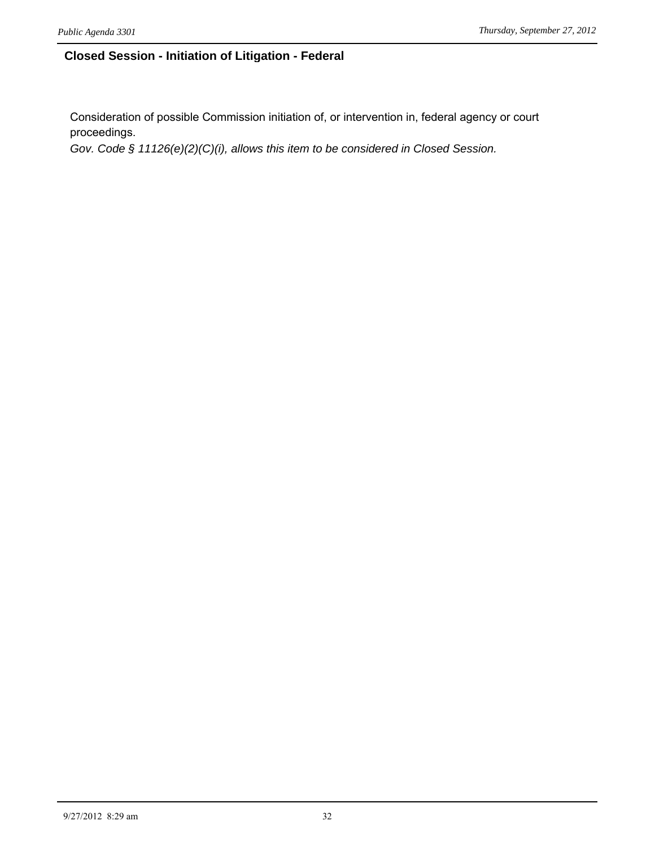### **Closed Session - Initiation of Litigation - Federal**

Consideration of possible Commission initiation of, or intervention in, federal agency or court proceedings.

*Gov. Code § 11126(e)(2)(C)(i), allows this item to be considered in Closed Session.*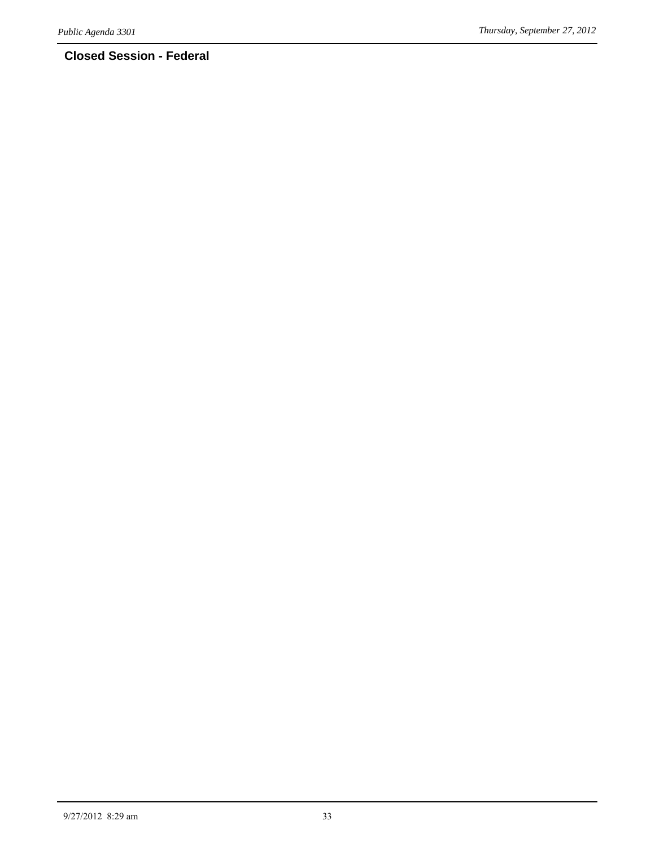## **Closed Session - Federal**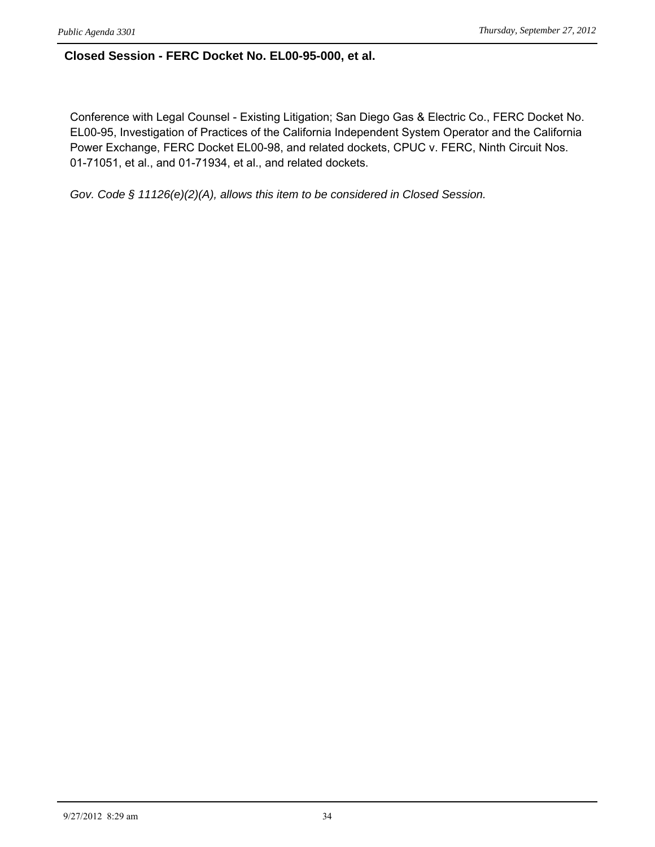#### **Closed Session - FERC Docket No. EL00-95-000, et al.**

Conference with Legal Counsel - Existing Litigation; San Diego Gas & Electric Co., FERC Docket No. EL00-95, Investigation of Practices of the California Independent System Operator and the California Power Exchange, FERC Docket EL00-98, and related dockets, CPUC v. FERC, Ninth Circuit Nos. 01-71051, et al., and 01-71934, et al., and related dockets.

*Gov. Code § 11126(e)(2)(A), allows this item to be considered in Closed Session.*